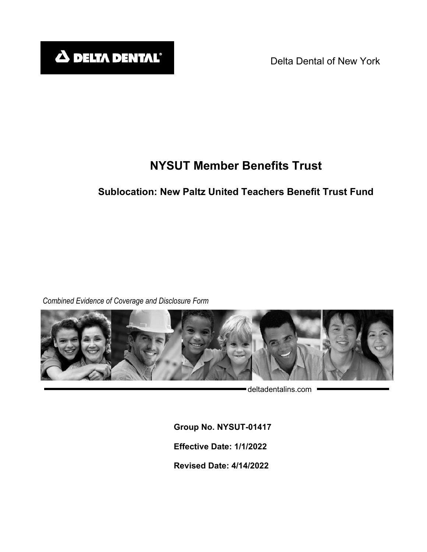Delta Dental of New York

# **NYSUT Member Benefits Trust**

# **Sublocation: New Paltz United Teachers Benefit Trust Fund**

*Combined Evidence of Coverage and Disclosure Form*



deltadentalins.com =

**Group No. NYSUT-01417 Effective Date: 1/1/2022 Revised Date: 4/14/2022**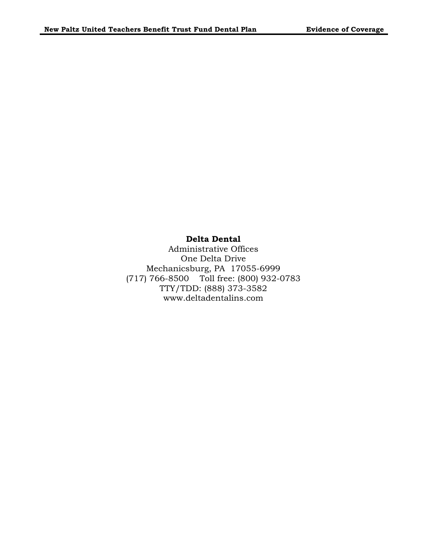## **Delta Dental**

Administrative Offices One Delta Drive Mechanicsburg, PA 17055-6999 (717) 766-8500 Toll free: (800) 932-0783 TTY/TDD: (888) 373-3582 www.deltadentalins.com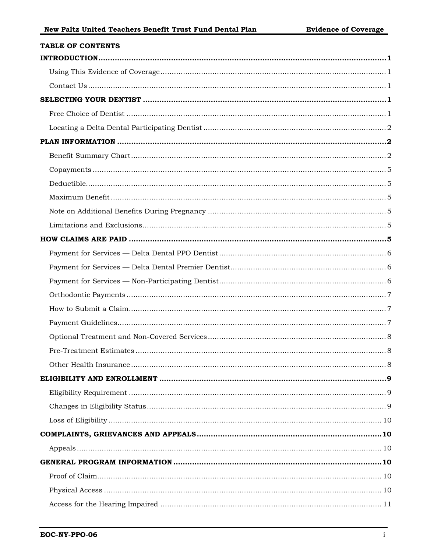| <b>TABLE OF CONTENTS</b> |
|--------------------------|
|                          |
|                          |
|                          |
|                          |
|                          |
|                          |
|                          |
|                          |
|                          |
|                          |
|                          |
|                          |
|                          |
|                          |
|                          |
|                          |
|                          |
|                          |
|                          |
|                          |
|                          |
|                          |
|                          |
|                          |
|                          |
|                          |
|                          |
|                          |
|                          |
|                          |
|                          |
|                          |
|                          |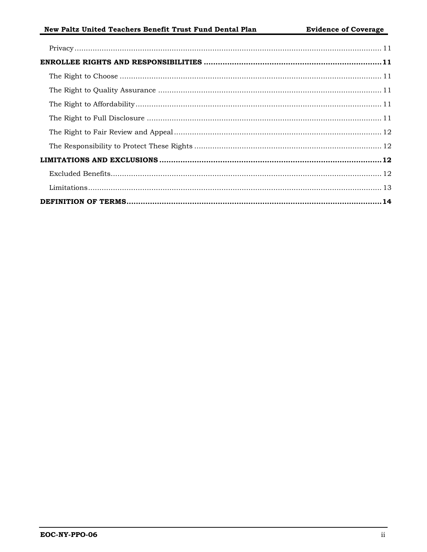# New Paltz United Teachers Benefit Trust Fund Dental Plan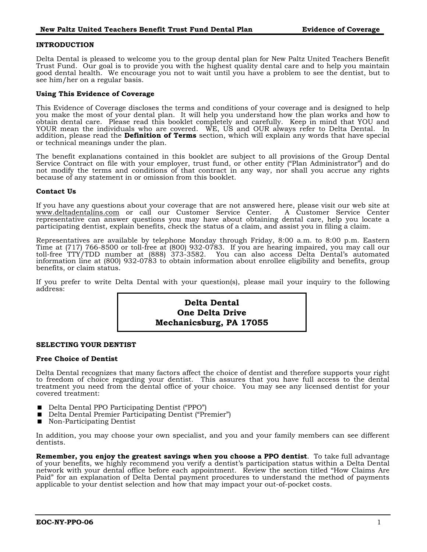#### <span id="page-4-0"></span>**INTRODUCTION**

Delta Dental is pleased to welcome you to the group dental plan for New Paltz United Teachers Benefit Trust Fund. Our goal is to provide you with the highest quality dental care and to help you maintain good dental health. We encourage you not to wait until you have a problem to see the dentist, but to see him/her on a regular basis.

#### <span id="page-4-1"></span>**Using This Evidence of Coverage**

This Evidence of Coverage discloses the terms and conditions of your coverage and is designed to help you make the most of your dental plan. It will help you understand how the plan works and how to obtain dental care. Please read this booklet completely and carefully. Keep in mind that YOU and YOUR mean the individuals who are covered. WE, US and OUR always refer to Delta Dental. In addition, please read the **Definition of Terms** section, which will explain any words that have special or technical meanings under the plan.

The benefit explanations contained in this booklet are subject to all provisions of the Group Dental Service Contract on file with your employer, trust fund, or other entity ("Plan Administrator") and do not modify the terms and conditions of that contract in any way, nor shall you accrue any rights because of any statement in or omission from this booklet.

#### <span id="page-4-2"></span>**Contact Us**

If you have any questions about your coverage that are not answered here, please visit our web site at www.deltadentalins.com or call our Customer Service Center. A Customer Service Center representative can answer questions you may have about obtaining dental care, help you locate a participating dentist, explain benefits, check the status of a claim, and assist you in filing a claim.

Representatives are available by telephone Monday through Friday, 8:00 a.m. to 8:00 p.m. Eastern Time at (717) 766-8500 or toll-free at (800) 932-0783. If you are hearing impaired, you may call our toll-free TTY/TDD number at (888) 373-3582. You can also access Delta Dental's automated information line at (800) 932-0783 to obtain information about enrollee eligibility and benefits, group benefits, or claim status.

If you prefer to write Delta Dental with your question(s), please mail your inquiry to the following address:

# **Delta Dental One Delta Drive Mechanicsburg, PA 17055**

#### <span id="page-4-3"></span>**SELECTING YOUR DENTIST**

#### <span id="page-4-4"></span>**Free Choice of Dentist**

Delta Dental recognizes that many factors affect the choice of dentist and therefore supports your right to freedom of choice regarding your dentist. This assures that you have full access to the dental treatment you need from the dental office of your choice. You may see any licensed dentist for your covered treatment:

- Delta Dental PPO Participating Dentist ("PPO")<br>■ Delta Dental Premier Participating Dentist ("Pr
- Delta Dental Premier Participating Dentist ("Premier")
- Non-Participating Dentist

In addition, you may choose your own specialist, and you and your family members can see different dentists.

**Remember, you enjoy the greatest savings when you choose a PPO dentist**. To take full advantage of your benefits, we highly recommend you verify a dentist's participation status within a Delta Dental network with your dental office before each appointment. Review the section titled "How Claims Are Paid" for an explanation of Delta Dental payment procedures to understand the method of payments applicable to your dentist selection and how that may impact your out-of-pocket costs.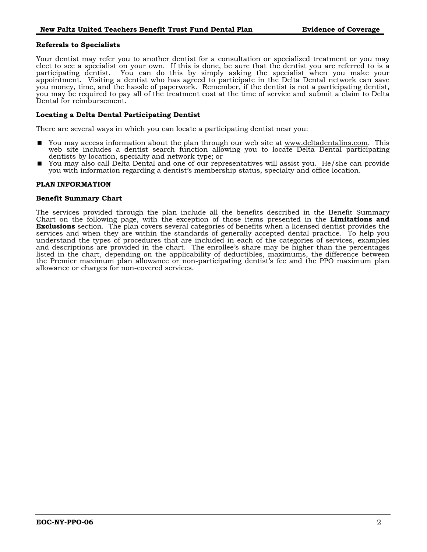#### **Referrals to Specialists**

Your dentist may refer you to another dentist for a consultation or specialized treatment or you may elect to see a specialist on your own. If this is done, be sure that the dentist you are referred to is a participating dentist. You can do this by simply asking the specialist when you make your appointment. Visiting a dentist who has agreed to participate in the Delta Dental network can save you money, time, and the hassle of paperwork. Remember, if the dentist is not a participating dentist, you may be required to pay all of the treatment cost at the time of service and submit a claim to Delta Dental for reimbursement.

#### <span id="page-5-0"></span>**Locating a Delta Dental Participating Dentist**

There are several ways in which you can locate a participating dentist near you:

- You may access information about the plan through our web site at www.deltadentalins.com. This web site includes a dentist search function allowing you to locate Delta Dental participating dentists by location, specialty and network type; or
- You may also call Delta Dental and one of our representatives will assist you. He/she can provide you with information regarding a dentist's membership status, specialty and office location.

#### <span id="page-5-1"></span>**PLAN INFORMATION**

#### <span id="page-5-2"></span>**Benefit Summary Chart**

The services provided through the plan include all the benefits described in the Benefit Summary Chart on the following page, with the exception of those items presented in the **Limitations and Exclusions** section. The plan covers several categories of benefits when a licensed dentist provides the services and when they are within the standards of generally accepted dental practice. To help you understand the types of procedures that are included in each of the categories of services, examples and descriptions are provided in the chart. The enrollee's share may be higher than the percentages listed in the chart, depending on the applicability of deductibles, maximums, the difference between the Premier maximum plan allowance or non-participating dentist's fee and the PPO maximum plan allowance or charges for non-covered services.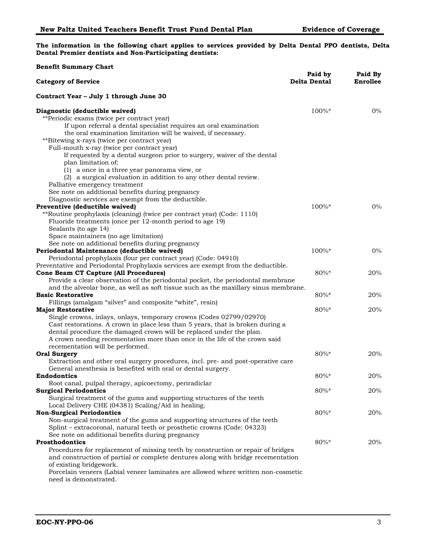**The information in the following chart applies to services provided by Delta Dental PPO dentists, Delta Dental Premier dentists and Non-Participating dentists:**

| <b>Benefit Summary Chart</b>                                                        |                                |                            |
|-------------------------------------------------------------------------------------|--------------------------------|----------------------------|
| <b>Category of Service</b>                                                          | Paid by<br><b>Delta Dental</b> | Paid By<br><b>Enrollee</b> |
| Contract Year - July 1 through June 30                                              |                                |                            |
| Diagnostic (deductible waived)                                                      | $100\%*$                       | $0\%$                      |
| **Periodic exams (twice per contract year)                                          |                                |                            |
| If upon referral a dental specialist requires an oral examination                   |                                |                            |
| the oral examination limitation will be waived, if necessary.                       |                                |                            |
| **Bitewing x-rays (twice per contract year)                                         |                                |                            |
| Full-mouth x-ray (twice per contract year)                                          |                                |                            |
| If requested by a dental surgeon prior to surgery, waiver of the dental             |                                |                            |
| plan limitation of:                                                                 |                                |                            |
| (1) a once in a three year panorama view, or                                        |                                |                            |
| (2) a surgical evaluation in addition to any other dental review.                   |                                |                            |
| Palliative emergency treatment                                                      |                                |                            |
| See note on additional benefits during pregnancy                                    |                                |                            |
| Diagnostic services are exempt from the deductible.                                 |                                |                            |
| Preventive (deductible waived)                                                      | 100%*                          | $0\%$                      |
| **Routine prophylaxis (cleaning) (twice per contract year) (Code: 1110)             |                                |                            |
| Fluoride treatments (once per 12-month period to age 19)                            |                                |                            |
| Sealants (to age 14)                                                                |                                |                            |
| Space maintainers (no age limitation)                                               |                                |                            |
| See note on additional benefits during pregnancy                                    |                                |                            |
| Periodontal Maintenance (deductible waived)                                         | 100%*                          | $0\%$                      |
| Periodontal prophylaxis (four per contract year) (Code: 04910)                      |                                |                            |
| Preventative and Periodontal Prophylaxis services are exempt from the deductible.   |                                |                            |
| Cone Beam CT Capture (All Procedures)                                               | $80\%*$                        | 20%                        |
| Provide a clear observation of the periodontal pocket, the periodontal membrane     |                                |                            |
| and the alveolar bone, as well as soft tissue such as the maxillary sinus membrane. |                                |                            |
| <b>Basic Restorative</b>                                                            | $80\%*$                        | 20%                        |
| Fillings (amalgam "silver" and composite "white", resin)                            |                                |                            |
| <b>Major Restorative</b>                                                            | $80\%*$                        | 20%                        |
| Single crowns, inlays, onlays, temporary crowns (Codes 02799/02970)                 |                                |                            |
| Cast restorations. A crown in place less than 5 years, that is broken during a      |                                |                            |
| dental procedure the damaged crown will be replaced under the plan.                 |                                |                            |
| A crown needing recementation more than once in the life of the crown said          |                                |                            |
| recementation will be performed.<br><b>Oral Surgery</b>                             | $80\%*$                        |                            |
| Extraction and other oral surgery procedures, incl. pre- and post-operative care    |                                | 20%                        |
| General anesthesia is benefited with oral or dental surgery.                        |                                |                            |
| Endodontics                                                                         | 80%*                           | 20%                        |
| Root canal, pulpal therapy, apicoectomy, periradiclar                               |                                |                            |
| <b>Surgical Periodontics</b>                                                        | $80\%*$                        | 20%                        |
| Surgical treatment of the gums and supporting structures of the teeth               |                                |                            |
| Local Delivery CHE (04381) Scaling/Aid in healing.                                  |                                |                            |
| <b>Non-Surgical Periodontics</b>                                                    | 80%*                           | 20%                        |
| Non-surgical treatment of the gums and supporting structures of the teeth           |                                |                            |
| Splint - extracoronal, natural teeth or prosthetic crowns (Code: 04323)             |                                |                            |
| See note on additional benefits during pregnancy                                    |                                |                            |
| Prosthodontics                                                                      | $80\%*$                        | 20%                        |
| Procedures for replacement of missing teeth by construction or repair of bridges    |                                |                            |
| and construction of partial or complete dentures along with bridge recementation    |                                |                            |
| of existing bridgework.                                                             |                                |                            |
| Porcelain veneers (Labial veneer laminates are allowed where written non-cosmetic   |                                |                            |
| need is demonstrated.                                                               |                                |                            |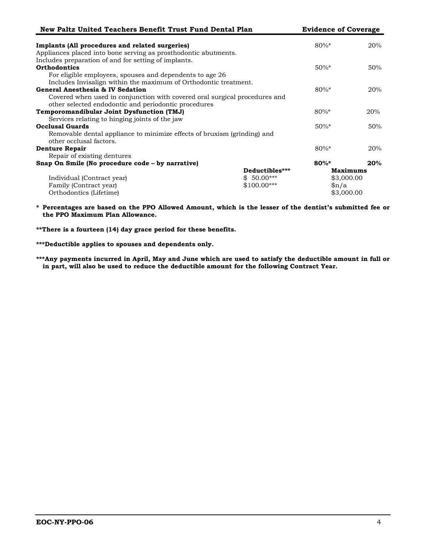| New Paltz United Teachers Benefit Trust Fund Dental Plan                   |                | <b>Evidence of Coverage</b> |     |
|----------------------------------------------------------------------------|----------------|-----------------------------|-----|
| Implants (All procedures and related surgeries)                            |                | $80\%$ *                    | 20% |
| Appliances placed into bone serving as prosthodontic abutments.            |                |                             |     |
| Includes preparation of and for setting of implants.                       |                |                             |     |
| <b>Orthodontics</b>                                                        |                | $50\%$ *                    | 50% |
| For eligible employees, spouses and dependents to age 26                   |                |                             |     |
| Includes Invisalign within the maximum of Orthodontic treatment.           |                |                             |     |
| General Anesthesia & IV Sedation                                           |                | $80\%$ *                    | 20% |
| Covered when used in conjunction with covered oral surgical procedures and |                |                             |     |
| other selected endodontic and periodontic procedures                       |                |                             |     |
| Temporomandibular Joint Dysfunction (TMJ)                                  |                | $80\%$ *                    | 20% |
| Services relating to hinging joints of the jaw                             |                |                             |     |
| <b>Occlusal Guards</b>                                                     |                | $50\%$ *                    | 50% |
| Removable dental appliance to minimize effects of bruxism (grinding) and   |                |                             |     |
| other occlusal factors.                                                    |                |                             |     |
| <b>Denture Repair</b>                                                      |                | $80\%$ *                    | 20% |
| Repair of existing dentures                                                |                |                             |     |
| Snap On Smile (No procedure code - by narrative)                           |                | $80\%$ *                    | 20% |
|                                                                            | Deductibles*** | <b>Maximums</b>             |     |
| Individual (Contract year)                                                 | $$50.00***$    | \$3,000.00                  |     |
| Family (Contract year)                                                     | $$100.00***$   | $\beta n/a$                 |     |
| Orthodontics (Lifetime)                                                    |                | \$3,000.00                  |     |

**\* Percentages are based on the PPO Allowed Amount, which is the lesser of the dentist's submitted fee or the PPO Maximum Plan Allowance.**

**\*\*There is a fourteen (14) day grace period for these benefits.** 

**\*\*\*Deductible applies to spouses and dependents only.**

**\*\*\*Any payments incurred in April, May and June which are used to satisfy the deductible amount in full or in part, will also be used to reduce the deductible amount for the following Contract Year.**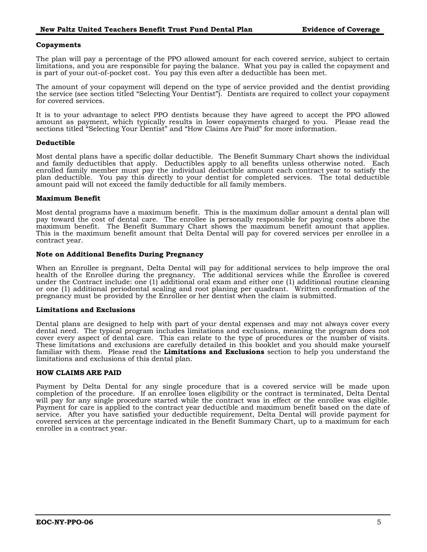#### <span id="page-8-0"></span>**Copayments**

The plan will pay a percentage of the PPO allowed amount for each covered service, subject to certain limitations, and you are responsible for paying the balance. What you pay is called the copayment and is part of your out-of-pocket cost. You pay this even after a deductible has been met.

The amount of your copayment will depend on the type of service provided and the dentist providing the service (see section titled "Selecting Your Dentist"). Dentists are required to collect your copayment for covered services.

It is to your advantage to select PPO dentists because they have agreed to accept the PPO allowed amount as payment, which typically results in lower copayments charged to you. Please read the sections titled "Selecting Your Dentist" and "How Claims Are Paid" for more information.

#### <span id="page-8-1"></span>**Deductible**

Most dental plans have a specific dollar deductible. The Benefit Summary Chart shows the individual and family deductibles that apply. Deductibles apply to all benefits unless otherwise noted. Each enrolled family member must pay the individual deductible amount each contract year to satisfy the plan deductible. You pay this directly to your dentist for completed services. The total deductible amount paid will not exceed the family deductible for all family members.

#### <span id="page-8-2"></span>**Maximum Benefit**

Most dental programs have a maximum benefit. This is the maximum dollar amount a dental plan will pay toward the cost of dental care. The enrollee is personally responsible for paying costs above the maximum benefit. The Benefit Summary Chart shows the maximum benefit amount that applies. This is the maximum benefit amount that Delta Dental will pay for covered services per enrollee in a contract year.

#### <span id="page-8-3"></span>**Note on Additional Benefits During Pregnancy**

When an Enrollee is pregnant, Delta Dental will pay for additional services to help improve the oral health of the Enrollee during the pregnancy. The additional services while the Enrollee is covered under the Contract include: one (1) additional oral exam and either one (1) additional routine cleaning or one (1) additional periodontal scaling and root planing per quadrant. Written confirmation of the pregnancy must be provided by the Enrollee or her dentist when the claim is submitted.

#### <span id="page-8-4"></span>**Limitations and Exclusions**

Dental plans are designed to help with part of your dental expenses and may not always cover every dental need. The typical program includes limitations and exclusions, meaning the program does not cover every aspect of dental care. This can relate to the type of procedures or the number of visits. These limitations and exclusions are carefully detailed in this booklet and you should make yourself familiar with them. Please read the **Limitations and Exclusions** section to help you understand the limitations and exclusions of this dental plan.

#### <span id="page-8-5"></span>**HOW CLAIMS ARE PAID**

Payment by Delta Dental for any single procedure that is a covered service will be made upon completion of the procedure. If an enrollee loses eligibility or the contract is terminated, Delta Dental will pay for any single procedure started while the contract was in effect or the enrollee was eligible. Payment for care is applied to the contract year deductible and maximum benefit based on the date of service. After you have satisfied your deductible requirement, Delta Dental will provide payment for covered services at the percentage indicated in the Benefit Summary Chart, up to a maximum for each enrollee in a contract year.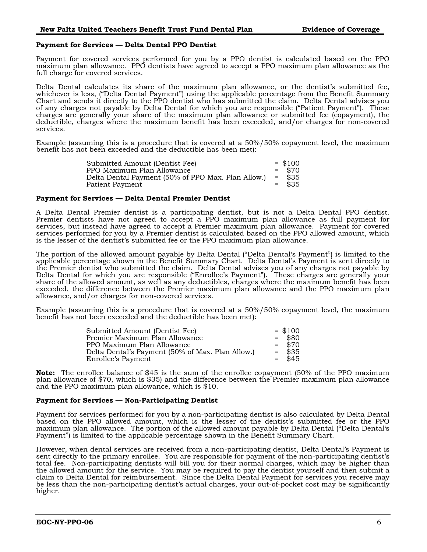#### <span id="page-9-0"></span>**Payment for Services — Delta Dental PPO Dentist**

Payment for covered services performed for you by a PPO dentist is calculated based on the PPO maximum plan allowance. PPO dentists have agreed to accept a PPO maximum plan allowance as the full charge for covered services.

Delta Dental calculates its share of the maximum plan allowance, or the dentist's submitted fee, whichever is less, ("Delta Dental Payment") using the applicable percentage from the Benefit Summary Chart and sends it directly to the PPO dentist who has submitted the claim. Delta Dental advises you of any charges not payable by Delta Dental for which you are responsible ("Patient Payment"). These charges are generally your share of the maximum plan allowance or submitted fee (copayment), the deductible, charges where the maximum benefit has been exceeded, and/or charges for non-covered services.

Example (assuming this is a procedure that is covered at a 50%/50% copayment level, the maximum benefit has not been exceeded and the deductible has been met):

| Submitted Amount (Dentist Fee)                     |     | $=$ \$100 |
|----------------------------------------------------|-----|-----------|
| PPO Maximum Plan Allowance                         |     | $=$ \$70  |
| Delta Dental Payment (50% of PPO Max. Plan Allow.) | $=$ | \$35      |
| Patient Payment                                    |     | \$35      |

#### <span id="page-9-1"></span>**Payment for Services — Delta Dental Premier Dentist**

A Delta Dental Premier dentist is a participating dentist, but is not a Delta Dental PPO dentist. Premier dentists have not agreed to accept a PPO maximum plan allowance as full payment for services, but instead have agreed to accept a Premier maximum plan allowance. Payment for covered services performed for you by a Premier dentist is calculated based on the PPO allowed amount, which is the lesser of the dentist's submitted fee or the PPO maximum plan allowance.

The portion of the allowed amount payable by Delta Dental ("Delta Dental's Payment") is limited to the applicable percentage shown in the Benefit Summary Chart. Delta Dental's Payment is sent directly to the Premier dentist who submitted the claim. Delta Dental advises you of any charges not payable by Delta Dental for which you are responsible ("Enrollee's Payment"). These charges are generally your share of the allowed amount, as well as any deductibles, charges where the maximum benefit has been exceeded, the difference between the Premier maximum plan allowance and the PPO maximum plan allowance, and/or charges for non-covered services.

Example (assuming this is a procedure that is covered at a 50%/50% copayment level, the maximum benefit has not been exceeded and the deductible has been met):

| Submitted Amount (Dentist Fee)                   | $=$ \$100 |
|--------------------------------------------------|-----------|
| Premier Maximum Plan Allowance                   | $=$ \$80  |
| PPO Maximum Plan Allowance                       | $=$ \$70  |
| Delta Dental's Payment (50% of Max. Plan Allow.) | $=$ \$35  |
| Enrollee's Payment                               | $=$ \$45  |

**Note:** The enrollee balance of \$45 is the sum of the enrollee copayment (50% of the PPO maximum plan allowance of \$70, which is \$35) and the difference between the Premier maximum plan allowance and the PPO maximum plan allowance, which is \$10.

#### <span id="page-9-2"></span>**Payment for Services — Non-Participating Dentist**

Payment for services performed for you by a non-participating dentist is also calculated by Delta Dental based on the PPO allowed amount, which is the lesser of the dentist's submitted fee or the PPO maximum plan allowance. The portion of the allowed amount payable by Delta Dental ("Delta Dental's Payment") is limited to the applicable percentage shown in the Benefit Summary Chart.

However, when dental services are received from a non-participating dentist, Delta Dental's Payment is sent directly to the primary enrollee. You are responsible for payment of the non-participating dentist's total fee. Non-participating dentists will bill you for their normal charges, which may be higher than the allowed amount for the service. You may be required to pay the dentist yourself and then submit a claim to Delta Dental for reimbursement. Since the Delta Dental Payment for services you receive may be less than the non-participating dentist's actual charges, your out-of-pocket cost may be significantly higher.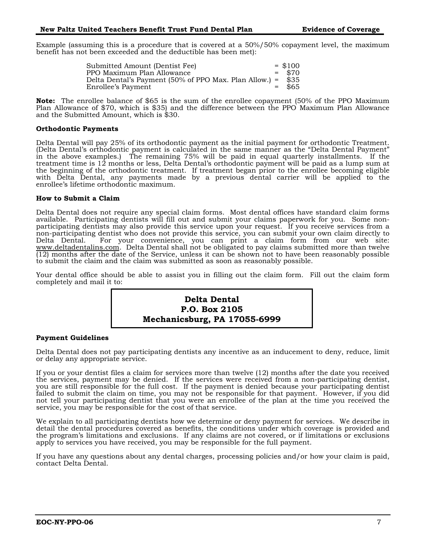Example (assuming this is a procedure that is covered at a 50%/50% copayment level, the maximum benefit has not been exceeded and the deductible has been met):

> Submitted Amount (Dentist Fee) = \$100 PPO Maximum Plan Allowance  $\frac{1}{2}$  = \$70<br>Delta Dental's Payment (50% of PPO Max. Plan Allow.) = \$35 Delta Dental's Payment (50% of PPO Max. Plan Allow.) = \$35 Enrollee's Payment

**Note:** The enrollee balance of \$65 is the sum of the enrollee copayment (50% of the PPO Maximum Plan Allowance of \$70, which is \$35) and the difference between the PPO Maximum Plan Allowance and the Submitted Amount, which is \$30.

#### <span id="page-10-0"></span>**Orthodontic Payments**

Delta Dental will pay 25% of its orthodontic payment as the initial payment for orthodontic Treatment. (Delta Dental's orthodontic payment is calculated in the same manner as the "Delta Dental Payment" in the above examples.) The remaining 75% will be paid in equal quarterly installments. If the treatment time is 12 months or less, Delta Dental's orthodontic payment will be paid as a lump sum at the beginning of the orthodontic treatment. If treatment began prior to the enrollee becoming eligible with Delta Dental, any payments made by a previous dental carrier will be applied to the enrollee's lifetime orthodontic maximum.

#### <span id="page-10-1"></span>**How to Submit a Claim**

Delta Dental does not require any special claim forms. Most dental offices have standard claim forms available. Participating dentists will fill out and submit your claims paperwork for you. Some nonparticipating dentists may also provide this service upon your request. If you receive services from a non-participating dentist who does not provide this service, you can submit your own claim directly to Delta Dental. For your convenience, you can print a claim form from our web site: www.deltadentalins.com. Delta Dental shall not be obligated to pay claims submitted more than twelve  $(12)$  months after the date of the Service, unless it can be shown not to have been reasonably possible to submit the claim and the claim was submitted as soon as reasonably possible.

Your dental office should be able to assist you in filling out the claim form. Fill out the claim form completely and mail it to:



#### <span id="page-10-2"></span>**Payment Guidelines**

Delta Dental does not pay participating dentists any incentive as an inducement to deny, reduce, limit or delay any appropriate service.

If you or your dentist files a claim for services more than twelve (12) months after the date you received the services, payment may be denied. If the services were received from a non-participating dentist, you are still responsible for the full cost. If the payment is denied because your participating dentist failed to submit the claim on time, you may not be responsible for that payment. However, if you did not tell your participating dentist that you were an enrollee of the plan at the time you received the service, you may be responsible for the cost of that service.

We explain to all participating dentists how we determine or deny payment for services. We describe in detail the dental procedures covered as benefits, the conditions under which coverage is provided and the program's limitations and exclusions. If any claims are not covered, or if limitations or exclusions apply to services you have received, you may be responsible for the full payment.

If you have any questions about any dental charges, processing policies and/or how your claim is paid, contact Delta Dental.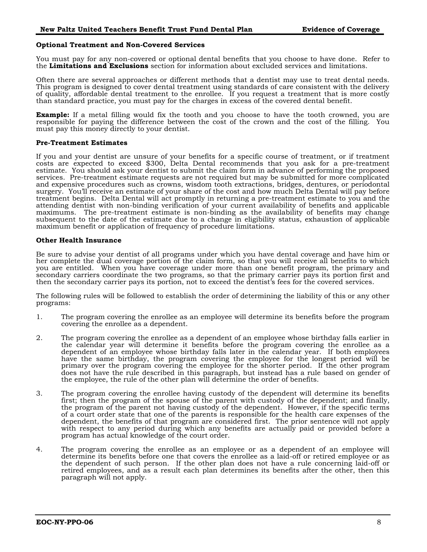#### <span id="page-11-0"></span>**Optional Treatment and Non-Covered Services**

You must pay for any non-covered or optional dental benefits that you choose to have done. Refer to the **Limitations and Exclusions** section for information about excluded services and limitations.

Often there are several approaches or different methods that a dentist may use to treat dental needs. This program is designed to cover dental treatment using standards of care consistent with the delivery of quality, affordable dental treatment to the enrollee. If you request a treatment that is more costly than standard practice, you must pay for the charges in excess of the covered dental benefit.

**Example:** If a metal filling would fix the tooth and you choose to have the tooth crowned, you are responsible for paying the difference between the cost of the crown and the cost of the filling. You must pay this money directly to your dentist.

#### <span id="page-11-1"></span>**Pre-Treatment Estimates**

If you and your dentist are unsure of your benefits for a specific course of treatment, or if treatment costs are expected to exceed \$300, Delta Dental recommends that you ask for a pre-treatment estimate. You should ask your dentist to submit the claim form in advance of performing the proposed services. Pre-treatment estimate requests are not required but may be submitted for more complicated and expensive procedures such as crowns, wisdom tooth extractions, bridges, dentures, or periodontal surgery. You'll receive an estimate of your share of the cost and how much Delta Dental will pay before treatment begins. Delta Dental will act promptly in returning a pre-treatment estimate to you and the attending dentist with non-binding verification of your current availability of benefits and applicable maximums. The pre-treatment estimate is non-binding as the availability of benefits may change subsequent to the date of the estimate due to a change in eligibility status, exhaustion of applicable maximum benefit or application of frequency of procedure limitations.

#### <span id="page-11-2"></span>**Other Health Insurance**

Be sure to advise your dentist of all programs under which you have dental coverage and have him or her complete the dual coverage portion of the claim form, so that you will receive all benefits to which you are entitled. When you have coverage under more than one benefit program, the primary and secondary carriers coordinate the two programs, so that the primary carrier pays its portion first and then the secondary carrier pays its portion, not to exceed the dentist's fees for the covered services.

The following rules will be followed to establish the order of determining the liability of this or any other programs:

- 1. The program covering the enrollee as an employee will determine its benefits before the program covering the enrollee as a dependent.
- 2. The program covering the enrollee as a dependent of an employee whose birthday falls earlier in the calendar year will determine it benefits before the program covering the enrollee as a dependent of an employee whose birthday falls later in the calendar year. If both employees have the same birthday, the program covering the employee for the longest period will be primary over the program covering the employee for the shorter period. If the other program does not have the rule described in this paragraph, but instead has a rule based on gender of the employee, the rule of the other plan will determine the order of benefits.
- 3. The program covering the enrollee having custody of the dependent will determine its benefits first; then the program of the spouse of the parent with custody of the dependent; and finally, the program of the parent not having custody of the dependent. However, if the specific terms of a court order state that one of the parents is responsible for the health care expenses of the dependent, the benefits of that program are considered first. The prior sentence will not apply with respect to any period during which any benefits are actually paid or provided before a program has actual knowledge of the court order.
- 4. The program covering the enrollee as an employee or as a dependent of an employee will determine its benefits before one that covers the enrollee as a laid-off or retired employee or as the dependent of such person. If the other plan does not have a rule concerning laid-off or retired employees, and as a result each plan determines its benefits after the other, then this paragraph will not apply.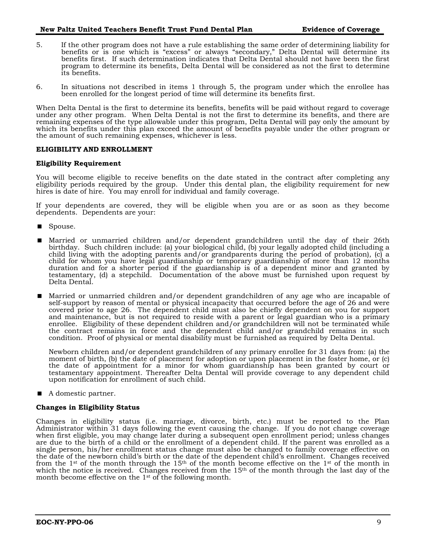- 5. If the other program does not have a rule establishing the same order of determining liability for benefits or is one which is "excess" or always "secondary," Delta Dental will determine its benefits first. If such determination indicates that Delta Dental should not have been the first program to determine its benefits, Delta Dental will be considered as not the first to determine its benefits.
- 6. In situations not described in items 1 through 5, the program under which the enrollee has been enrolled for the longest period of time will determine its benefits first.

When Delta Dental is the first to determine its benefits, benefits will be paid without regard to coverage under any other program. When Delta Dental is not the first to determine its benefits, and there are remaining expenses of the type allowable under this program, Delta Dental will pay only the amount by which its benefits under this plan exceed the amount of benefits payable under the other program or the amount of such remaining expenses, whichever is less.

#### <span id="page-12-0"></span>**ELIGIBILITY AND ENROLLMENT**

#### <span id="page-12-1"></span>**Eligibility Requirement**

You will become eligible to receive benefits on the date stated in the contract after completing any eligibility periods required by the group. Under this dental plan, the eligibility requirement for new hires is date of hire. You may enroll for individual and family coverage.

If your dependents are covered, they will be eligible when you are or as soon as they become dependents. Dependents are your:

- Spouse.
- Married or unmarried children and/or dependent grandchildren until the day of their 26th birthday. Such children include: (a) your biological child, (b) your legally adopted child (including a child living with the adopting parents and/or grandparents during the period of probation), (c) a child for whom you have legal guardianship or temporary guardianship of more than 12 months duration and for a shorter period if the guardianship is of a dependent minor and granted by testamentary, (d) a stepchild. Documentation of the above must be furnished upon request by Delta Dental.
- Married or unmarried children and/or dependent grandchildren of any age who are incapable of self-support by reason of mental or physical incapacity that occurred before the age of 26 and were covered prior to age 26. The dependent child must also be chiefly dependent on you for support and maintenance, but is not required to reside with a parent or legal guardian who is a primary enrollee. Eligibility of these dependent children and/or grandchildren will not be terminated while the contract remains in force and the dependent child and/or grandchild remains in such condition. Proof of physical or mental disability must be furnished as required by Delta Dental.

Newborn children and/or dependent grandchildren of any primary enrollee for 31 days from: (a) the moment of birth, (b) the date of placement for adoption or upon placement in the foster home, or (c) the date of appointment for a minor for whom guardianship has been granted by court or testamentary appointment. Thereafter Delta Dental will provide coverage to any dependent child upon notification for enrollment of such child.

■ A domestic partner.

#### <span id="page-12-2"></span>**Changes in Eligibility Status**

Changes in eligibility status (i.e. marriage, divorce, birth, etc.) must be reported to the Plan Administrator within 31 days following the event causing the change. If you do not change coverage when first eligible, you may change later during a subsequent open enrollment period; unless changes are due to the birth of a child or the enrollment of a dependent child. If the parent was enrolled as a single person, his/her enrollment status change must also be changed to family coverage effective on the date of the newborn child's birth or the date of the dependent child's enrollment. Changes received from the 1st of the month through the 15<sup>th</sup> of the month become effective on the 1st of the month in which the notice is received. Changes received from the  $15<sup>th</sup>$  of the month through the last day of the month become effective on the 1<sup>st</sup> of the following month.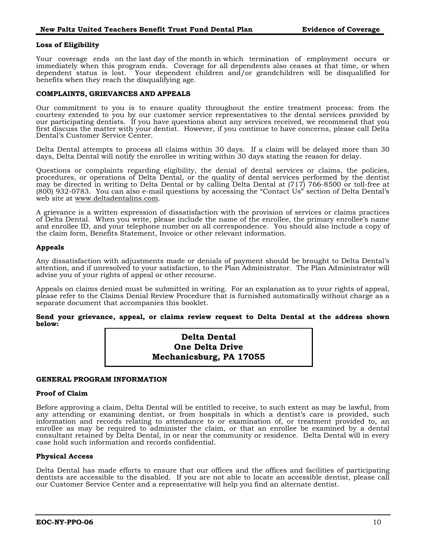#### <span id="page-13-0"></span>**Loss of Eligibility**

Your coverage ends on the last day of the month in which termination of employment occurs or immediately when this program ends. Coverage for all dependents also ceases at that time, or when dependent status is lost. Your dependent children and/or grandchildren will be disqualified for benefits when they reach the disqualifying age.

#### <span id="page-13-1"></span>**COMPLAINTS, GRIEVANCES AND APPEALS**

Our commitment to you is to ensure quality throughout the entire treatment process: from the courtesy extended to you by our customer service representatives to the dental services provided by our participating dentists. If you have questions about any services received, we recommend that you first discuss the matter with your dentist. However, if you continue to have concerns, please call Delta Dental's Customer Service Center.

Delta Dental attempts to process all claims within 30 days. If a claim will be delayed more than 30 days, Delta Dental will notify the enrollee in writing within 30 days stating the reason for delay.

Questions or complaints regarding eligibility, the denial of dental services or claims, the policies, procedures, or operations of Delta Dental, or the quality of dental services performed by the dentist may be directed in writing to Delta Dental or by calling Delta Dental at (717) 766-8500 or toll-free at (800) 932-0783. You can also e-mail questions by accessing the "Contact Us" section of Delta Dental's web site at www.deltadentalins.com.

A grievance is a written expression of dissatisfaction with the provision of services or claims practices of Delta Dental. When you write, please include the name of the enrollee, the primary enrollee's name and enrollee ID, and your telephone number on all correspondence. You should also include a copy of the claim form, Benefits Statement, Invoice or other relevant information.

#### <span id="page-13-2"></span>**Appeals**

Any dissatisfaction with adjustments made or denials of payment should be brought to Delta Dental's attention, and if unresolved to your satisfaction, to the Plan Administrator. The Plan Administrator will advise you of your rights of appeal or other recourse.

Appeals on claims denied must be submitted in writing. For an explanation as to your rights of appeal, please refer to the Claims Denial Review Procedure that is furnished automatically without charge as a separate document that accompanies this booklet.

#### **Send your grievance, appeal, or claims review request to Delta Dental at the address shown below:**

| <b>Delta Dental</b>     |
|-------------------------|
| <b>One Delta Drive</b>  |
| Mechanicsburg, PA 17055 |

#### <span id="page-13-3"></span>**GENERAL PROGRAM INFORMATION**

#### <span id="page-13-4"></span>**Proof of Claim**

Before approving a claim, Delta Dental will be entitled to receive, to such extent as may be lawful, from any attending or examining dentist, or from hospitals in which a dentist's care is provided, such information and records relating to attendance to or examination of, or treatment provided to, an enrollee as may be required to administer the claim, or that an enrollee be examined by a dental consultant retained by Delta Dental, in or near the community or residence. Delta Dental will in every case hold such information and records confidential.

#### <span id="page-13-5"></span>**Physical Access**

Delta Dental has made efforts to ensure that our offices and the offices and facilities of participating dentists are accessible to the disabled. If you are not able to locate an accessible dentist, please call our Customer Service Center and a representative will help you find an alternate dentist.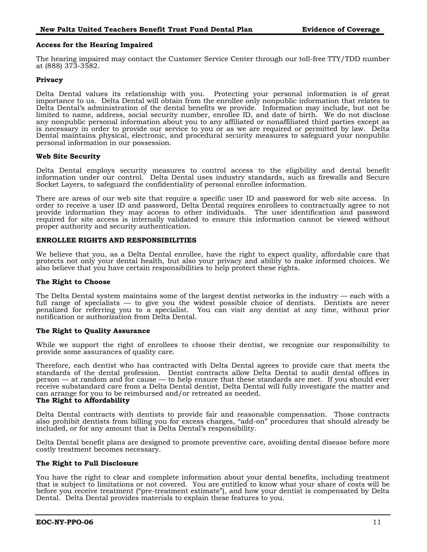#### <span id="page-14-0"></span>**Access for the Hearing Impaired**

The hearing impaired may contact the Customer Service Center through our toll-free TTY/TDD number at (888) 373-3582.

#### <span id="page-14-1"></span>**Privacy**

Delta Dental values its relationship with you. Protecting your personal information is of great importance to us. Delta Dental will obtain from the enrollee only nonpublic information that relates to Delta Dental's administration of the dental benefits we provide. Information may include, but not be limited to name, address, social security number, enrollee ID, and date of birth. We do not disclose any nonpublic personal information about you to any affiliated or nonaffiliated third parties except as is necessary in order to provide our service to you or as we are required or permitted by law. Delta Dental maintains physical, electronic, and procedural security measures to safeguard your nonpublic personal information in our possession.

#### **Web Site Security**

Delta Dental employs security measures to control access to the eligibility and dental benefit information under our control. Delta Dental uses industry standards, such as firewalls and Secure Socket Layers, to safeguard the confidentiality of personal enrollee information.

There are areas of our web site that require a specific user ID and password for web site access. In order to receive a user ID and password, Delta Dental requires enrollees to contractually agree to not provide information they may access to other individuals. The user identification and password required for site access is internally validated to ensure this information cannot be viewed without proper authority and security authentication.

#### <span id="page-14-2"></span>**ENROLLEE RIGHTS AND RESPONSIBILITIES**

We believe that you, as a Delta Dental enrollee, have the right to expect quality, affordable care that protects not only your dental health, but also your privacy and ability to make informed choices. We also believe that you have certain responsibilities to help protect these rights.

#### <span id="page-14-3"></span>**The Right to Choose**

The Delta Dental system maintains some of the largest dentist networks in the industry — each with a full range of specialists — to give you the widest possible choice of dentists. Dentists are never penalized for referring you to a specialist. You can visit any dentist at any time, without prior notification or authorization from Delta Dental.

#### <span id="page-14-4"></span>**The Right to Quality Assurance**

While we support the right of enrollees to choose their dentist, we recognize our responsibility to provide some assurances of quality care.

Therefore, each dentist who has contracted with Delta Dental agrees to provide care that meets the standards of the dental profession. Dentist contracts allow Delta Dental to audit dental offices in person — at random and for cause — to help ensure that these standards are met. If you should ever receive substandard care from a Delta Dental dentist, Delta Dental will fully investigate the matter and can arrange for you to be reimbursed and/or retreated as needed.

#### <span id="page-14-5"></span>**The Right to Affordability**

Delta Dental contracts with dentists to provide fair and reasonable compensation. Those contracts also prohibit dentists from billing you for excess charges, "add-on" procedures that should already be included, or for any amount that is Delta Dental's responsibility.

Delta Dental benefit plans are designed to promote preventive care, avoiding dental disease before more costly treatment becomes necessary.

#### <span id="page-14-6"></span>**The Right to Full Disclosure**

You have the right to clear and complete information about your dental benefits, including treatment that is subject to limitations or not covered. You are entitled to know what your share of costs will be before you receive treatment ("pre-treatment estimate"), and how your dentist is compensated by Delta Dental. Delta Dental provides materials to explain these features to you.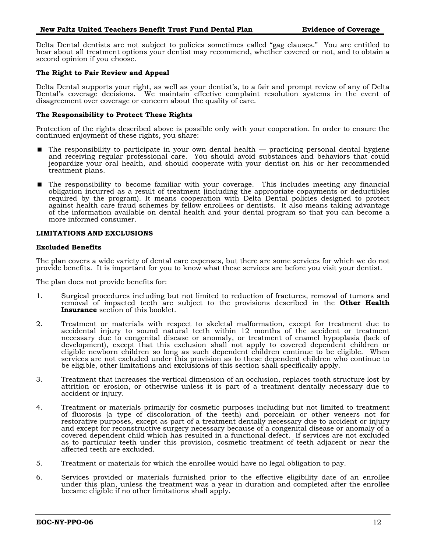Delta Dental dentists are not subject to policies sometimes called "gag clauses." You are entitled to hear about all treatment options your dentist may recommend, whether covered or not, and to obtain a second opinion if you choose.

#### <span id="page-15-0"></span>**The Right to Fair Review and Appeal**

Delta Dental supports your right, as well as your dentist's, to a fair and prompt review of any of Delta Dental's coverage decisions. We maintain effective complaint resolution systems in the event of disagreement over coverage or concern about the quality of care.

#### <span id="page-15-1"></span>**The Responsibility to Protect These Rights**

Protection of the rights described above is possible only with your cooperation. In order to ensure the continued enjoyment of these rights, you share:

- $\blacksquare$  The responsibility to participate in your own dental health practicing personal dental hygiene and receiving regular professional care. You should avoid substances and behaviors that could jeopardize your oral health, and should cooperate with your dentist on his or her recommended treatment plans.
- The responsibility to become familiar with your coverage. This includes meeting any financial obligation incurred as a result of treatment (including the appropriate copayments or deductibles required by the program). It means cooperation with Delta Dental policies designed to protect against health care fraud schemes by fellow enrollees or dentists. It also means taking advantage of the information available on dental health and your dental program so that you can become a more informed consumer.

#### <span id="page-15-2"></span>**LIMITATIONS AND EXCLUSIONS**

#### <span id="page-15-3"></span>**Excluded Benefits**

The plan covers a wide variety of dental care expenses, but there are some services for which we do not provide benefits. It is important for you to know what these services are before you visit your dentist.

The plan does not provide benefits for:

- 1. Surgical procedures including but not limited to reduction of fractures, removal of tumors and removal of impacted teeth are subject to the provisions described in the **Other Health Insurance** section of this booklet.
- 2. Treatment or materials with respect to skeletal malformation, except for treatment due to accidental injury to sound natural teeth within 12 months of the accident or treatment necessary due to congenital disease or anomaly, or treatment of enamel hypoplasia (lack of development), except that this exclusion shall not apply to covered dependent children or eligible newborn children so long as such dependent children continue to be eligible. When services are not excluded under this provision as to these dependent children who continue to be eligible, other limitations and exclusions of this section shall specifically apply.
- 3. Treatment that increases the vertical dimension of an occlusion, replaces tooth structure lost by attrition or erosion, or otherwise unless it is part of a treatment dentally necessary due to accident or injury.
- 4. Treatment or materials primarily for cosmetic purposes including but not limited to treatment of fluorosis (a type of discoloration of the teeth) and porcelain or other veneers not for restorative purposes, except as part of a treatment dentally necessary due to accident or injury and except for reconstructive surgery necessary because of a congenital disease or anomaly of a covered dependent child which has resulted in a functional defect. If services are not excluded as to particular teeth under this provision, cosmetic treatment of teeth adjacent or near the affected teeth are excluded.
- 5. Treatment or materials for which the enrollee would have no legal obligation to pay.
- 6. Services provided or materials furnished prior to the effective eligibility date of an enrollee under this plan, unless the treatment was a year in duration and completed after the enrollee became eligible if no other limitations shall apply.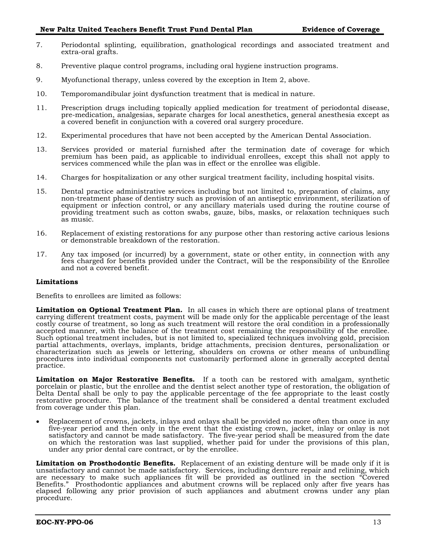- 7. Periodontal splinting, equilibration, gnathological recordings and associated treatment and extra-oral grafts.
- 8. Preventive plaque control programs, including oral hygiene instruction programs.
- 9. Myofunctional therapy, unless covered by the exception in Item 2, above.
- 10. Temporomandibular joint dysfunction treatment that is medical in nature.
- 11. Prescription drugs including topically applied medication for treatment of periodontal disease, pre-medication, analgesias, separate charges for local anesthetics, general anesthesia except as a covered benefit in conjunction with a covered oral surgery procedure.
- 12. Experimental procedures that have not been accepted by the American Dental Association.
- 13. Services provided or material furnished after the termination date of coverage for which premium has been paid, as applicable to individual enrollees, except this shall not apply to services commenced while the plan was in effect or the enrollee was eligible.
- 14. Charges for hospitalization or any other surgical treatment facility, including hospital visits.
- 15. Dental practice administrative services including but not limited to, preparation of claims, any non-treatment phase of dentistry such as provision of an antiseptic environment, sterilization of equipment or infection control, or any ancillary materials used during the routine course of providing treatment such as cotton swabs, gauze, bibs, masks, or relaxation techniques such as music.
- 16. Replacement of existing restorations for any purpose other than restoring active carious lesions or demonstrable breakdown of the restoration.
- 17. Any tax imposed (or incurred) by a government, state or other entity, in connection with any fees charged for benefits provided under the Contract, will be the responsibility of the Enrollee and not a covered benefit.

#### <span id="page-16-0"></span>**Limitations**

Benefits to enrollees are limited as follows:

**Limitation on Optional Treatment Plan.** In all cases in which there are optional plans of treatment carrying different treatment costs, payment will be made only for the applicable percentage of the least costly course of treatment, so long as such treatment will restore the oral condition in a professionally accepted manner, with the balance of the treatment cost remaining the responsibility of the enrollee. Such optional treatment includes, but is not limited to, specialized techniques involving gold, precision partial attachments, overlays, implants, bridge attachments, precision dentures, personalization or characterization such as jewels or lettering, shoulders on crowns or other means of unbundling procedures into individual components not customarily performed alone in generally accepted dental practice.

**Limitation on Major Restorative Benefits.** If a tooth can be restored with amalgam, synthetic porcelain or plastic, but the enrollee and the dentist select another type of restoration, the obligation of Delta Dental shall be only to pay the applicable percentage of the fee appropriate to the least costly restorative procedure. The balance of the treatment shall be considered a dental treatment excluded from coverage under this plan.

• Replacement of crowns, jackets, inlays and onlays shall be provided no more often than once in any five-year period and then only in the event that the existing crown, jacket, inlay or onlay is not satisfactory and cannot be made satisfactory. The five-year period shall be measured from the date on which the restoration was last supplied, whether paid for under the provisions of this plan, under any prior dental care contract, or by the enrollee.

**Limitation on Prosthodontic Benefits.** Replacement of an existing denture will be made only if it is unsatisfactory and cannot be made satisfactory. Services, including denture repair and relining, which are necessary to make such appliances fit will be provided as outlined in the section "Covered Benefits." Prosthodontic appliances and abutment crowns will be replaced only after five years has elapsed following any prior provision of such appliances and abutment crowns under any plan procedure.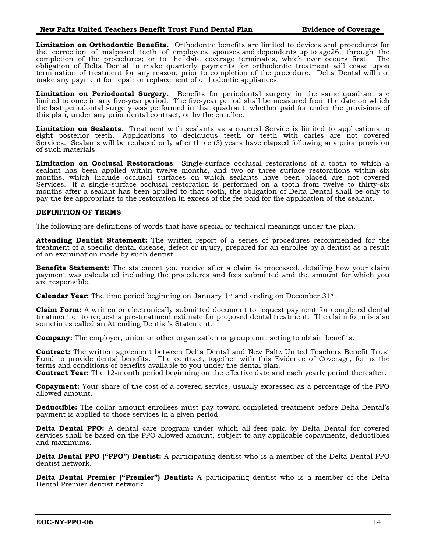**Limitation on Orthodontic Benefits.** Orthodontic benefits are limited to devices and procedures for the correction of malposed teeth of employees, spouses and dependents up to age26, through the completion of the procedures; or to the date coverage terminates, which ever occurs first. The obligation of Delta Dental to make quarterly payments for orthodontic treatment will cease upon termination of treatment for any reason, prior to completion of the procedure. Delta Dental will not make any payment for repair or replacement of orthodontic appliances.

**Limitation on Periodontal Surgery.** Benefits for periodontal surgery in the same quadrant are limited to once in any five-year period. The five-year period shall be measured from the date on which the last periodontal surgery was performed in that quadrant, whether paid for under the provisions of this plan, under any prior dental contract, or by the enrollee.

**Limitation on Sealants**. Treatment with sealants as a covered Service is limited to applications to eight posterior teeth. Applications to deciduous teeth or teeth with caries are not covered Services. Sealants will be replaced only after three (3) years have elapsed following any prior provision of such materials.

**Limitation on Occlusal Restorations**. Single-surface occlusal restorations of a tooth to which a sealant has been applied within twelve months, and two or three surface restorations within six months, which include occlusal surfaces on which sealants have been placed are not covered Services. If a single-surface occlusal restoration is performed on a tooth from twelve to thirty-six months after a sealant has been applied to that tooth, the obligation of Delta Dental shall be only to pay the fee appropriate to the restoration in excess of the fee paid for the application of the sealant.

#### <span id="page-17-0"></span>**DEFINITION OF TERMS**

The following are definitions of words that have special or technical meanings under the plan.

**Attending Dentist Statement:** The written report of a series of procedures recommended for the treatment of a specific dental disease, defect or injury, prepared for an enrollee by a dentist as a result of an examination made by such dentist.

**Benefits Statement:** The statement you receive after a claim is processed, detailing how your claim payment was calculated including the procedures and fees submitted and the amount for which you are responsible.

**Calendar Year:** The time period beginning on January 1<sup>st</sup> and ending on December 31<sup>st</sup>.

**Claim Form:** A written or electronically submitted document to request payment for completed dental treatment or to request a pre-treatment estimate for proposed dental treatment. The claim form is also sometimes called an Attending Dentist's Statement.

**Company:** The employer, union or other organization or group contracting to obtain benefits.

**Contract:** The written agreement between Delta Dental and New Paltz United Teachers Benefit Trust Fund to provide dental benefits. The contract, together with this Evidence of Coverage, forms the terms and conditions of benefits available to you under the dental plan. **Contract Year:** The 12-month period beginning on the effective date and each yearly period thereafter.

**Copayment:** Your share of the cost of a covered service, usually expressed as a percentage of the PPO allowed amount.

**Deductible:** The dollar amount enrollees must pay toward completed treatment before Delta Dental's payment is applied to those services in a given period.

**Delta Dental PPO:** A dental care program under which all fees paid by Delta Dental for covered services shall be based on the PPO allowed amount, subject to any applicable copayments, deductibles and maximums.

**Delta Dental PPO ("PPO") Dentist:** A participating dentist who is a member of the Delta Dental PPO dentist network.

**Delta Dental Premier ("Premier") Dentist:** A participating dentist who is a member of the Delta Dental Premier dentist network.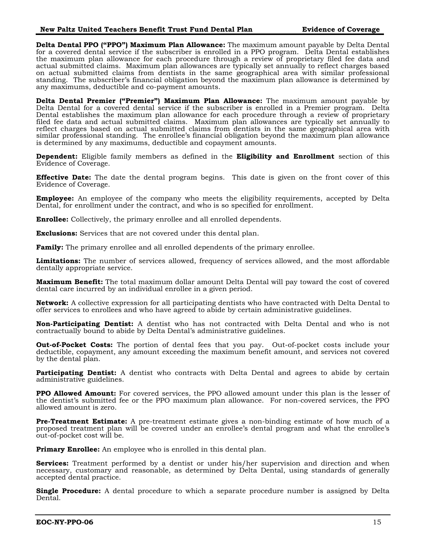**Delta Dental PPO ("PPO") Maximum Plan Allowance:** The maximum amount payable by Delta Dental for a covered dental service if the subscriber is enrolled in a PPO program. Delta Dental establishes the maximum plan allowance for each procedure through a review of proprietary filed fee data and actual submitted claims. Maximum plan allowances are typically set annually to reflect charges based on actual submitted claims from dentists in the same geographical area with similar professional standing. The subscriber's financial obligation beyond the maximum plan allowance is determined by any maximums, deductible and co-payment amounts.

**Delta Dental Premier ("Premier") Maximum Plan Allowance:** The maximum amount payable by Delta Dental for a covered dental service if the subscriber is enrolled in a Premier program. Delta Dental establishes the maximum plan allowance for each procedure through a review of proprietary filed fee data and actual submitted claims. Maximum plan allowances are typically set annually to reflect charges based on actual submitted claims from dentists in the same geographical area with similar professional standing. The enrollee's financial obligation beyond the maximum plan allowance is determined by any maximums, deductible and copayment amounts.

**Dependent:** Eligible family members as defined in the **Eligibility and Enrollment** section of this Evidence of Coverage.

**Effective Date:** The date the dental program begins. This date is given on the front cover of this Evidence of Coverage.

**Employee:** An employee of the company who meets the eligibility requirements, accepted by Delta Dental, for enrollment under the contract, and who is so specified for enrollment.

**Enrollee:** Collectively, the primary enrollee and all enrolled dependents.

**Exclusions:** Services that are not covered under this dental plan.

**Family:** The primary enrollee and all enrolled dependents of the primary enrollee.

**Limitations:** The number of services allowed, frequency of services allowed, and the most affordable dentally appropriate service.

**Maximum Benefit:** The total maximum dollar amount Delta Dental will pay toward the cost of covered dental care incurred by an individual enrollee in a given period.

**Network:** A collective expression for all participating dentists who have contracted with Delta Dental to offer services to enrollees and who have agreed to abide by certain administrative guidelines.

**Non-Participating Dentist:** A dentist who has not contracted with Delta Dental and who is not contractually bound to abide by Delta Dental's administrative guidelines.

**Out-of-Pocket Costs:** The portion of dental fees that you pay. Out-of-pocket costs include your deductible, copayment, any amount exceeding the maximum benefit amount, and services not covered by the dental plan.

**Participating Dentist:** A dentist who contracts with Delta Dental and agrees to abide by certain administrative guidelines.

**PPO Allowed Amount:** For covered services, the PPO allowed amount under this plan is the lesser of the dentist's submitted fee or the PPO maximum plan allowance. For non-covered services, the PPO allowed amount is zero.

**Pre-Treatment Estimate:** A pre-treatment estimate gives a non-binding estimate of how much of a proposed treatment plan will be covered under an enrollee's dental program and what the enrollee's out-of-pocket cost will be.

**Primary Enrollee:** An employee who is enrolled in this dental plan.

**Services:** Treatment performed by a dentist or under his/her supervision and direction and when necessary, customary and reasonable, as determined by Delta Dental, using standards of generally accepted dental practice.

**Single Procedure:** A dental procedure to which a separate procedure number is assigned by Delta Dental.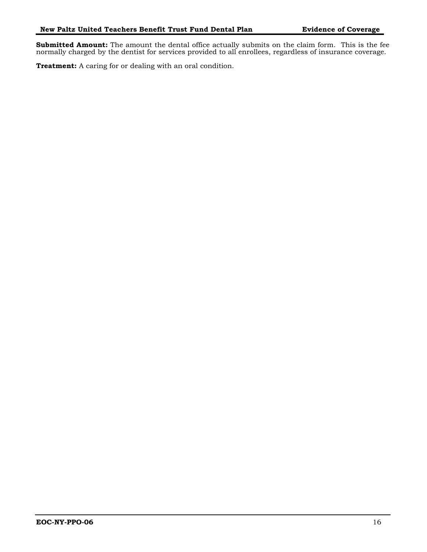**Submitted Amount:** The amount the dental office actually submits on the claim form. This is the fee normally charged by the dentist for services provided to all enrollees, regardless of insurance coverage.

**Treatment:** A caring for or dealing with an oral condition.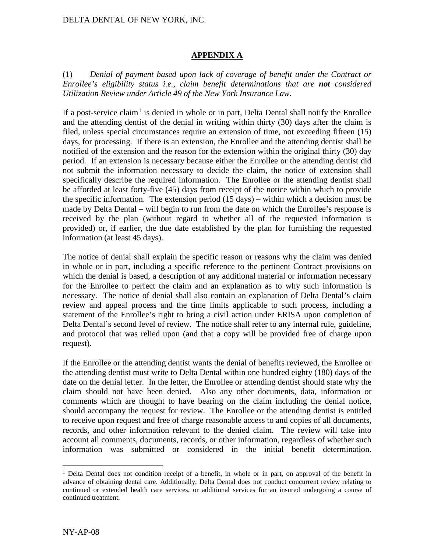## DELTA DENTAL OF NEW YORK, INC.

### **APPENDIX A**

(1) *Denial of payment based upon lack of coverage of benefit under the Contract or Enrollee's eligibility status i.e., claim benefit determinations that are not considered Utilization Review under Article 49 of the New York Insurance Law.* 

If a post-service claim<sup>[1](#page-20-0)</sup> is denied in whole or in part, Delta Dental shall notify the Enrollee and the attending dentist of the denial in writing within thirty (30) days after the claim is filed, unless special circumstances require an extension of time, not exceeding fifteen (15) days, for processing. If there is an extension, the Enrollee and the attending dentist shall be notified of the extension and the reason for the extension within the original thirty (30) day period. If an extension is necessary because either the Enrollee or the attending dentist did not submit the information necessary to decide the claim, the notice of extension shall specifically describe the required information. The Enrollee or the attending dentist shall be afforded at least forty-five (45) days from receipt of the notice within which to provide the specific information. The extension period (15 days) – within which a decision must be made by Delta Dental – will begin to run from the date on which the Enrollee's response is received by the plan (without regard to whether all of the requested information is provided) or, if earlier, the due date established by the plan for furnishing the requested information (at least 45 days).

The notice of denial shall explain the specific reason or reasons why the claim was denied in whole or in part, including a specific reference to the pertinent Contract provisions on which the denial is based, a description of any additional material or information necessary for the Enrollee to perfect the claim and an explanation as to why such information is necessary. The notice of denial shall also contain an explanation of Delta Dental's claim review and appeal process and the time limits applicable to such process, including a statement of the Enrollee's right to bring a civil action under ERISA upon completion of Delta Dental's second level of review. The notice shall refer to any internal rule, guideline, and protocol that was relied upon (and that a copy will be provided free of charge upon request).

If the Enrollee or the attending dentist wants the denial of benefits reviewed, the Enrollee or the attending dentist must write to Delta Dental within one hundred eighty (180) days of the date on the denial letter. In the letter, the Enrollee or attending dentist should state why the claim should not have been denied. Also any other documents, data, information or comments which are thought to have bearing on the claim including the denial notice, should accompany the request for review. The Enrollee or the attending dentist is entitled to receive upon request and free of charge reasonable access to and copies of all documents, records, and other information relevant to the denied claim. The review will take into account all comments, documents, records, or other information, regardless of whether such information was submitted or considered in the initial benefit determination.

<span id="page-20-0"></span><sup>&</sup>lt;sup>1</sup> Delta Dental does not condition receipt of a benefit, in whole or in part, on approval of the benefit in advance of obtaining dental care. Additionally, Delta Dental does not conduct concurrent review relating to continued or extended health care services, or additional services for an insured undergoing a course of continued treatment.